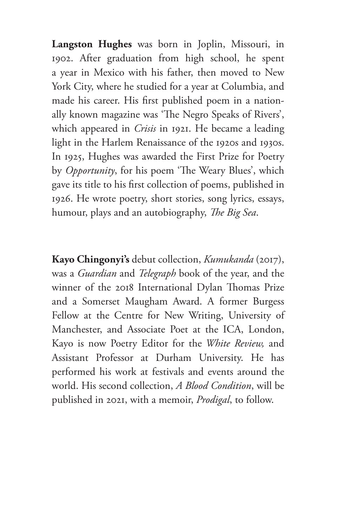**Langston Hughes** was born in Joplin, Missouri, in 1902. After graduation from high school, he spent a year in Mexico with his father, then moved to New York City, where he studied for a year at Columbia, and made his career. His first published poem in a nationally known magazine was 'The Negro Speaks of Rivers', which appeared in *Crisis* in 1921. He became a leading light in the Harlem Renaissance of the 1920s and 1930s. In 1925, Hughes was awarded the First Prize for Poetry by *Opportunity*, for his poem 'The Weary Blues', which gave its title to his first collection of poems, published in 1926. He wrote poetry, short stories, song lyrics, essays, humour, plays and an autobiography, *The Big Sea*.

**Kayo Chingonyi's** debut collection, *Kumukanda* (2017), was a *Guardian* and *Telegraph* book of the year, and the winner of the 2018 International Dylan Thomas Prize and a Somerset Maugham Award. A former Burgess Fellow at the Centre for New Writing, University of Manchester, and Associate Poet at the ICA, London, Kayo is now Poetry Editor for the *White Review,*  and Assistant Professor at Durham University. He has performed his work at festivals and events around the world. His second collection, *A Blood Condition*, will be published in 2021, with a memoir, *Prodigal*, to follow.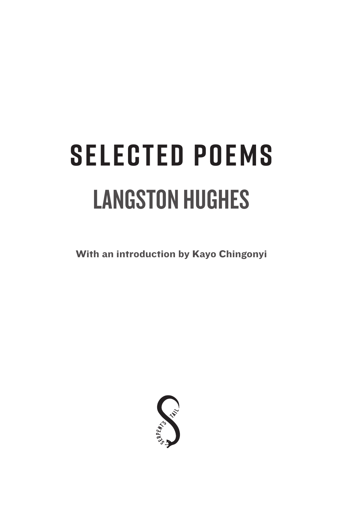# LANGSTON HUGHES **SELECTED POEMS**

With an introduction by Kayo Chingonyi

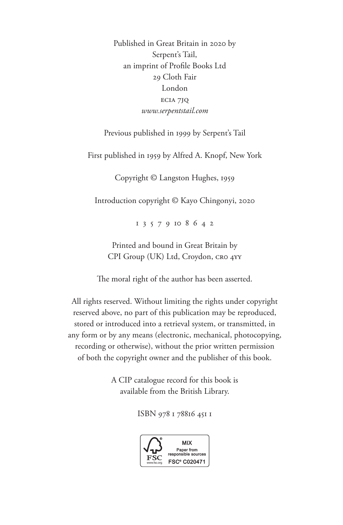Published in Great Britain in 2020 by Serpent's Tail, an imprint of Profile Books Ltd 29 Cloth Fair London ec1a 7jq *www.serpentstail.com*

Previous published in 1999 by Serpent's Tail

First published in 1959 by Alfred A. Knopf, New York

Copyright © Langston Hughes, 1959

Introduction copyright © Kayo Chingonyi, 2020

1 3 5 7 9 10 8 6 4 2

Printed and bound in Great Britain by CPI Group (UK) Ltd, Croydon, CRO 4YY

The moral right of the author has been asserted.

All rights reserved. Without limiting the rights under copyright reserved above, no part of this publication may be reproduced, stored or introduced into a retrieval system, or transmitted, in any form or by any means (electronic, mechanical, photocopying, recording or otherwise), without the prior written permission of both the copyright owner and the publisher of this book.

> A CIP catalogue record for this book is available from the British Library.

> > ISBN 978 1 78816 451 1

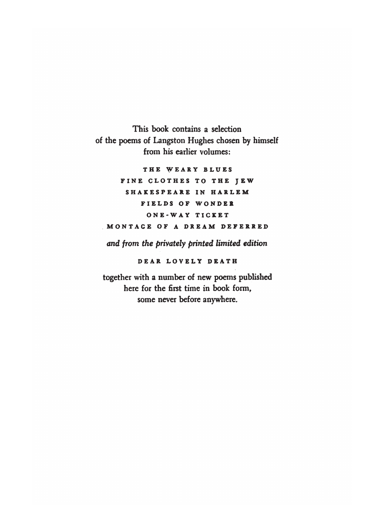This book contains a selection of the poems of Langston Hughes chosen by himself from his earlier volumes:

THE WEARY BLUES FINE CLOTHES TO THE JEW SHAKESPEARE IN HARLEM FIELDS OF WONDER ONE-WAY TICKET MONTAGE OF A DREAM DEFERRED

and from the privately printed limited edition

DEAR LOVELY DEATH

together with a number of new poems published here for the first time in book form, some never before anywhere.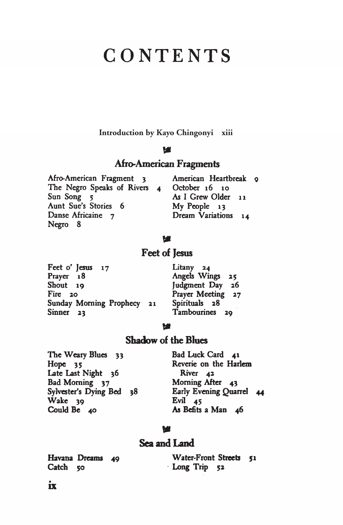# CONTENTS

Introduction by Kayo Chingonyi xiii

#### w

### **Afro-American Fragments**

| American Heartbreak g   |
|-------------------------|
| October $16$ 10<br>$-4$ |
| As I Grew Older 11      |
| My People 13            |
| Dream Variations 14     |
|                         |
|                         |

#### w

## Feet of Jesus

| Feet o' Jesus 17           | Litany 24                                |
|----------------------------|------------------------------------------|
| Prayer 18                  | Angels Wings 29                          |
| Shout 19                   | Judgment Day<br>$\overline{\phantom{a}}$ |
| Fire $20$                  | Prayer Meeting :                         |
| Sunday Morning Prophecy 21 | Spirituals 28                            |
| Sinner <sub>23</sub>       | Tambourines 29                           |

#### M

## **Shadow of the Blues**

The Weary Blues 33 Hope<sub>35</sub> Late Last Night 36 Bad Morning 37<br>Sylvester's Dying Bed 38  $\dot{W}$ ake 39 Could Be 40

Bad Luck Card 41 Reverie on the Harlem River<sub>42</sub> Morning After 43 Early Evening Quarrel 44 Evil  $45$ As Befits a Man 46

 $25$  $26$  $27$ 

#### w

## Sea and Land

Havana Dreams 49 Catch 50

Water-Front Streets 51 Long Trip 52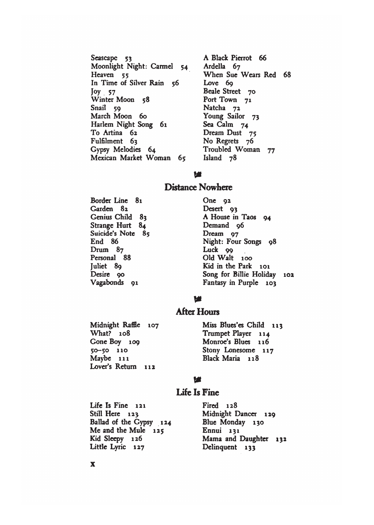Seascape 53 Moonlight Night: Carmel 54 Heaven 55 In Time of Silver Rain 56  $Joy$  57 Winter Moon 58 Snail 59 March Moon 60 Harlem Night Song 61 To Artina 62 Fulfilment 63 Gypsy Melodies 64 Mexican Market Woman 65

A Black Pierrot 66 Ardella 67 When Sue Wears Red 68 Love 69 Beale Street 70 Port Town 71 Natcha 72 Young Sailor 73 Sea Calm 74 Dream Dust 75 No Regrets 76 Troubled Woman 77 Island 78

#### M

#### **Distance Nowhere**

Border Line 81 Garden 82 Genius Child 83 Strange Hurt 84 Suicide's Note 85 End 86 Drum 87 Personal 88 Juliet 89 Desire 90 Vagabonds 91

One  $92$ Desert 93 A House in Taos 94 Demand 96 Dream 97 Night: Four Songs 98 Luck 99 Old Walt 100 Kid in the Park 101 Song for Billie Holiday 102 Fantasy in Purple 103

#### W

#### **After Hours**

Midnight Raffle 107 What? 108 Gone Boy 109  $50 - 50$  110 Maybe 111 Lover's Return 112

Miss Blues'es Child 113 Trumpet Player 114 Monroe's Blues 116 Stony Lonesome 117 Black Maria 118

#### w

#### **Life Is Fine**

Life Is Fine 121 Still Here 123 Ballad of the Cypsy 124 Me and the Mule  $125$ Kid Sleepy 126 Little Lyric 127

Fired 128 Midnight Dancer 129 Blue Monday 130 Ennui 131 Mama and Daughter 132 Delinquent 133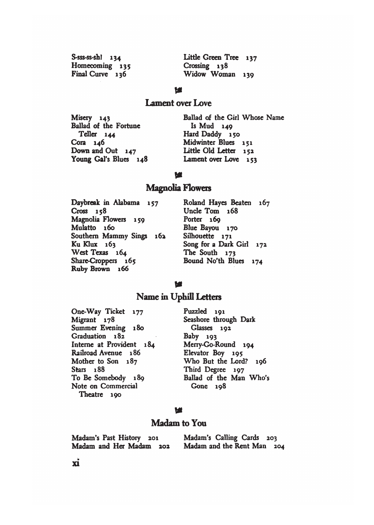| $S-ss-ss-sh1$ 134 | Little Green Tree 137 |
|-------------------|-----------------------|
| Homecoming 135    | Crossing 138          |
| Final Curve 136   | Widow Woman 139       |

#### **M**

#### Lament over Love

Misery 143 Ballad of the Fortune Teller 144 Cora 146 Down and Out 147 Young Gal's Blues 148 Ballad of the Girl Whose Name Is Mud 149 Hard Daddy 150 Midwinter Blues 151 Little Old Letter 152 Lament over Love 153

#### w

#### **Magnolia Flowers**

Daybreak in Alabama 157  $Cross 158$ Magnolia Flowers 159 Mulatto 160 Southern Mammy Sings 162 Ku Klux 163 West Texas 164 Share-Croppers 165 Ruby Brown 166

Roland Hayes Beaten 167 Uncle Tom 168 Porter 169 Blue Bayou 170 Silhouette 171 Song for a Dark Girl 172 The South 173 Bound No'th Blues 174

#### W

#### Name in Uphill Letters

One-Way Ticket 177 Migrant 178 Summer Evening 180 Graduation 182 Interne at Provident 184 Railroad Avenue 186 Mother to Son 187 Stars 188 To Be Somebody 189 Note on Commercial Theatre 190

Puzzled 191 Seashore through Dark Glasses 192 Baby 193 Merry-Go-Round 194 Elevator Boy 195 Who But the Lord? 196 Third Degree 197 Ballad of the Man Who's Gone 198

#### w

#### Madam to You

Madam's Past History 201 Madam's Calling Cards 203 Madam and Her Madam 202 Madam and the Rent Man 204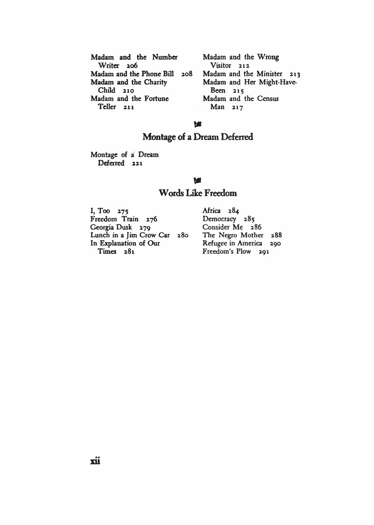| Madam and the Number         |  |
|------------------------------|--|
| Writer 206                   |  |
| Madam and the Phone Bill 208 |  |
| Madam and the Charity        |  |
| $Child$ 210                  |  |
| Madam and the Fortune        |  |
| Teller <sub>211</sub>        |  |

Madam and the Wrong Visitor 212 Madam and the Minister 213 Madam and Her Might-Have-Been 215 Madam and the Census Man 217

#### M

# Montage of a Dream Deferred

Montage of a Dream Deferred 221

#### w

## **Words Like Freedom**

I, Too 275 Freedom Train 276 Georgia Dusk 279 Lunch in a Jim Crow Car 280 In Explanation of Our Times 281

Africa 284 Democracy 285 Consider Me 286 The Negro Mother 288 Refugee in America 290 Freedom's Plow 291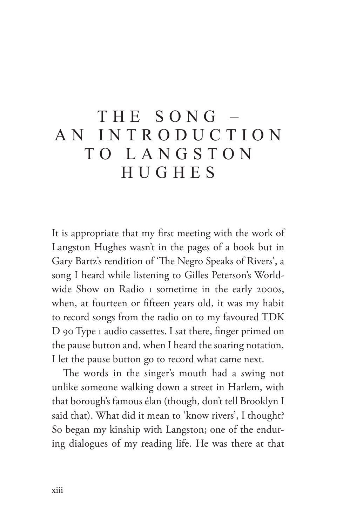# THE SONG  $$ a n i n t roduc t i o n t o Lang st o n HUGHES

It is appropriate that my first meeting with the work of Langston Hughes wasn't in the pages of a book but in Gary Bartz's rendition of 'The Negro Speaks of Rivers', a song I heard while listening to Gilles Peterson's Worldwide Show on Radio 1 sometime in the early 2000s, when, at fourteen or fifteen years old, it was my habit to record songs from the radio on to my favoured TDK D 90 Type 1 audio cassettes. I sat there, finger primed on the pause button and, when I heard the soaring notation, I let the pause button go to record what came next.

The words in the singer's mouth had a swing not unlike someone walking down a street in Harlem, with that borough's famous élan (though, don't tell Brooklyn I said that). What did it mean to 'know rivers', I thought? So began my kinship with Langston; one of the enduring dialogues of my reading life. He was there at that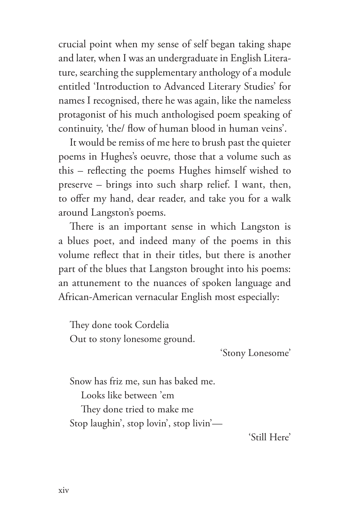crucial point when my sense of self began taking shape and later, when I was an undergraduate in English Literature, searching the supplementary anthology of a module entitled 'Introduction to Advanced Literary Studies' for names I recognised, there he was again, like the nameless protagonist of his much anthologised poem speaking of continuity, 'the/ flow of human blood in human veins'.

It would be remiss of me here to brush past the quieter poems in Hughes's oeuvre, those that a volume such as this – reflecting the poems Hughes himself wished to preserve – brings into such sharp relief. I want, then, to offer my hand, dear reader, and take you for a walk around Langston's poems.

There is an important sense in which Langston is a blues poet, and indeed many of the poems in this volume reflect that in their titles, but there is another part of the blues that Langston brought into his poems: an attunement to the nuances of spoken language and African-American vernacular English most especially:

They done took Cordelia Out to stony lonesome ground.

'Stony Lonesome'

Snow has friz me, sun has baked me. Looks like between 'em They done tried to make me Stop laughin', stop lovin', stop livin'—

'Still Here'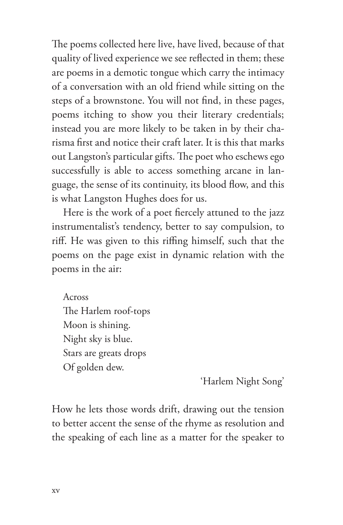The poems collected here live, have lived, because of that quality of lived experience we see reflected in them; these are poems in a demotic tongue which carry the intimacy of a conversation with an old friend while sitting on the steps of a brownstone. You will not find, in these pages, poems itching to show you their literary credentials; instead you are more likely to be taken in by their charisma first and notice their craft later. It is this that marks out Langston's particular gifts. The poet who eschews ego successfully is able to access something arcane in language, the sense of its continuity, its blood flow, and this is what Langston Hughes does for us.

Here is the work of a poet fiercely attuned to the jazz instrumentalist's tendency, better to say compulsion, to riff. He was given to this riffing himself, such that the poems on the page exist in dynamic relation with the poems in the air:

Across The Harlem roof-tops Moon is shining. Night sky is blue. Stars are greats drops Of golden dew.

'Harlem Night Song'

How he lets those words drift, drawing out the tension to better accent the sense of the rhyme as resolution and the speaking of each line as a matter for the speaker to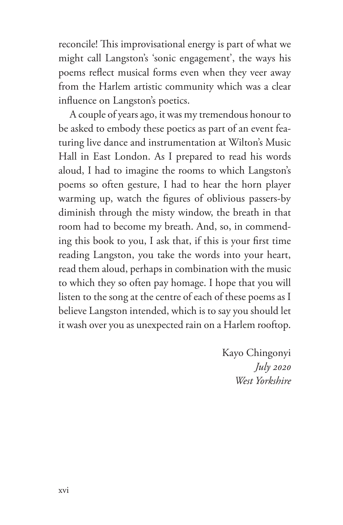reconcile! This improvisational energy is part of what we might call Langston's 'sonic engagement', the ways his poems reflect musical forms even when they veer away from the Harlem artistic community which was a clear influence on Langston's poetics.

A couple of years ago, it was my tremendous honour to be asked to embody these poetics as part of an event featuring live dance and instrumentation at Wilton's Music Hall in East London. As I prepared to read his words aloud, I had to imagine the rooms to which Langston's poems so often gesture, I had to hear the horn player warming up, watch the figures of oblivious passers-by diminish through the misty window, the breath in that room had to become my breath. And, so, in commending this book to you, I ask that, if this is your first time reading Langston, you take the words into your heart, read them aloud, perhaps in combination with the music to which they so often pay homage. I hope that you will listen to the song at the centre of each of these poems as I believe Langston intended, which is to say you should let it wash over you as unexpected rain on a Harlem rooftop.

> Kayo Chingonyi *July 2020 West Yorkshire*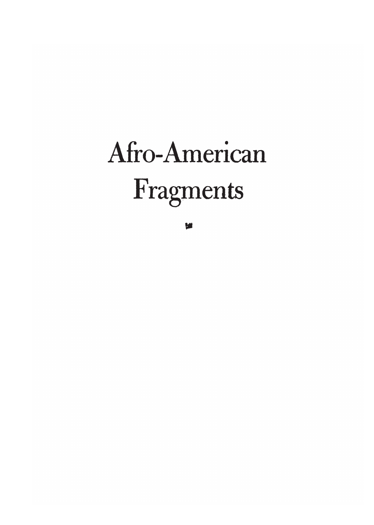# Afro-American Fragments

w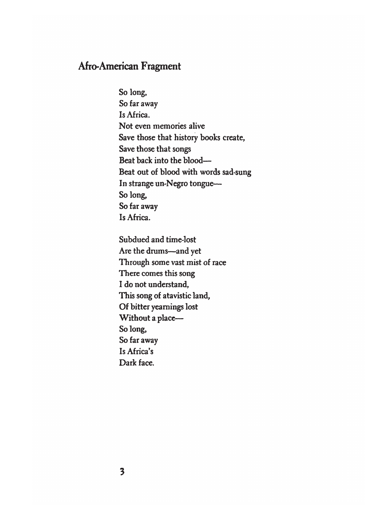# **Afro-American Fragment**

So long, So far away Is Africa. Not even memories alive Save those that history books create, Save those that songs Beat back into the blood-Beat out of blood with words sad-sung In strange un-Negro tongue-So long, So far away Is Africa.

Subdued and time-lost Are the drums-and yet Through some vast mist of race There comes this song I do not understand, This song of atavistic land, Of bitter yearnings lost Without a place-So long, So far away Is Africa's Dark face.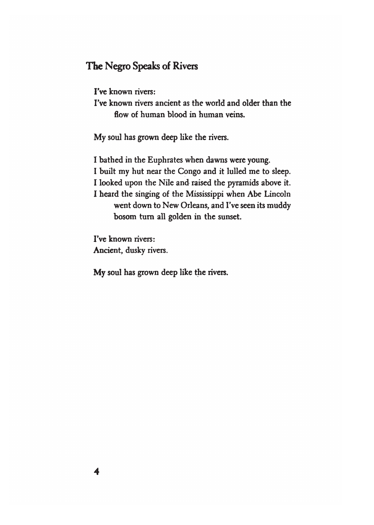# The Negro Speaks of Rivers

I've known rivers:

I've known rivers ancient as the world and older than the flow of human blood in human veins.

My soul has grown deep like the rivers.

I bathed in the Euphrates when dawns were young. I built my hut near the Congo and it lulled me to sleep. I looked upon the Nile and raised the pyramids above it. I heard the singing of the Mississippi when Abe Lincoln went down to New Orleans, and I've seen its muddy bosom turn all golden in the sunset.

I've known rivers: Ancient, dusky rivers.

My soul has grown deep like the rivers.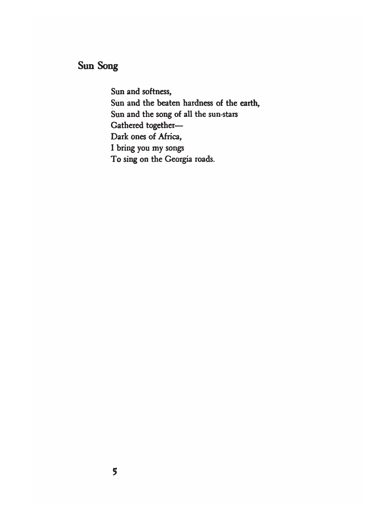# Sun Song

Sun and softness, Sun and the beaten hardness of the earth, Sun and the song of all the sun-stars Gathered together-Dark ones of Africa, I bring you my songs To sing on the Georgia roads.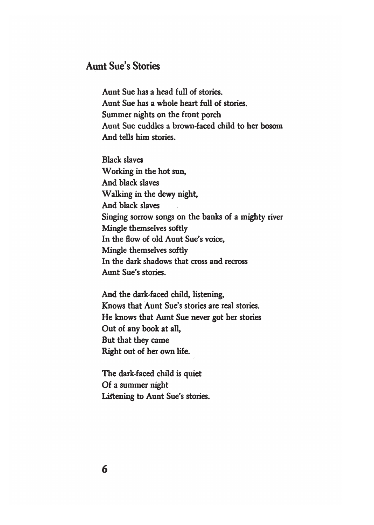# **Aunt Sue's Stories**

Aunt Sue has a head full of stories. Aunt Sue has a whole heart full of stories. Summer nights on the front porch Aunt Sue cuddles a brown-faced child to her bosom And tells him stories.

**Black slaves** Working in the hot sun, And black slaves Walking in the dewy night, And black slaves Singing sorrow songs on the banks of a mighty river Mingle themselves softly In the flow of old Aunt Sue's voice, Mingle themselves softly In the dark shadows that cross and recross Aunt Sue's stories.

And the dark-faced child, listening, Knows that Aunt Sue's stories are real stories. He knows that Aunt Sue never got her stories Out of any book at all, But that they came Right out of her own life.

The dark-faced child is quiet Of a summer night Listening to Aunt Sue's stories.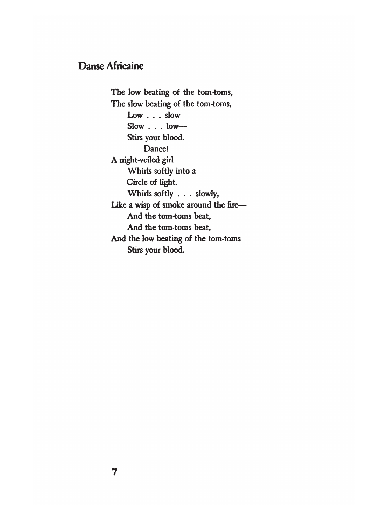# **Danse Africaine**

The low beating of the tom-toms, The slow beating of the tom-toms, Low . . . slow  $Slow \dots low-$ Stirs your blood. Dance! A night-veiled girl Whirls softly into a Circle of light. Whirls softly . . . slowly, Like a wisp of smoke around the fire-And the tom-toms beat, And the tom-toms beat, And the low beating of the tom-toms Stirs your blood.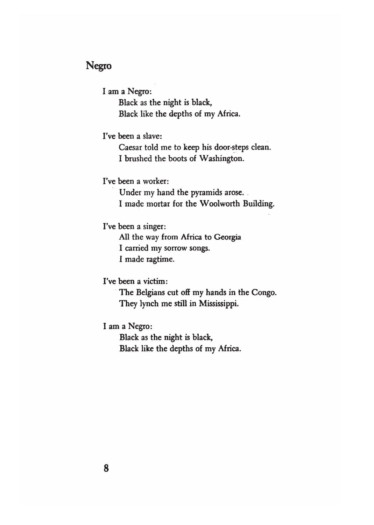# **Negro**

I am a Negro:

Black as the night is black, Black like the depths of my Africa.

I've been a slave:

Caesar told me to keep his door-steps clean. I brushed the boots of Washington.

I've been a worker:

Under my hand the pyramids arose. I made mortar for the Woolworth Building.

I've been a singer:

All the way from Africa to Georgia I carried my sorrow songs. I made ragtime.

I've been a victim:

The Belgians cut off my hands in the Congo. They lynch me still in Mississippi.

I am a Negro:

Black as the night is black, Black like the depths of my Africa.